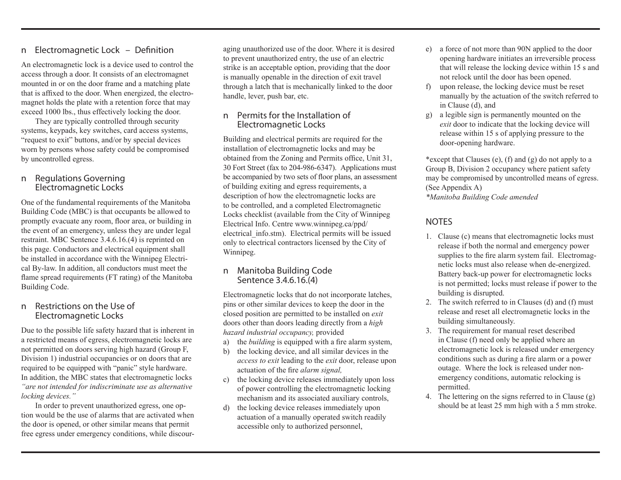### n *Electromagnetic Lock – Definition*

An electromagnetic lock is a device used to control the access through a door. It consists of an electromagnet mounted in or on the door frame and a matching plate that is affixed to the door. When energized, the electromagnet holds the plate with a retention force that may exceed 1000 lbs., thus effectively locking the door.

They are typically controlled through security systems, keypads, key switches, card access systems, "request to exit" buttons, and/or by special devices worn by persons whose safety could be compromised by uncontrolled egress.

#### n *Regulations Governing Electromagnetic Locks*

One of the fundamental requirements of the Manitoba Building Code (MBC) is that occupants be allowed to promptly evacuate any room, floor area, or building in the event of an emergency, unless they are under legal restraint. MBC Sentence 3.4.6.16.(4) is reprinted on this page. Conductors and electrical equipment shall be installed in accordance with the Winnipeg Electrical By-law. In addition, all conductors must meet the flame spread requirements (FT rating) of the Manitoba Building Code.

#### n *Restrictions on the Use of Electromagnetic Locks*

Due to the possible life safety hazard that is inherent in a restricted means of egress, electromagnetic locks are not permitted on doors serving high hazard (Group F, Division 1) industrial occupancies or on doors that are required to be equipped with "panic" style hardware. In addition, the MBC states that electromagnetic locks *"are not intended for indiscriminate use as alternative locking devices."*

In order to prevent unauthorized egress, one option would be the use of alarms that are activated when the door is opened, or other similar means that permit free egress under emergency conditions, while discour-

aging unauthorized use of the door. Where it is desired to prevent unauthorized entry, the use of an electric strike is an acceptable option, providing that the door is manually openable in the direction of exit travel through a latch that is mechanically linked to the door handle, lever, push bar, etc.

#### n *Permits for the Installation of Electromagnetic Locks*

Building and electrical permits are required for the installation of electromagnetic locks and may be obtained from the Zoning and Permits office, Unit 31, 30 Fort Street (fax to 204-986-6347). Applications must be accompanied by two sets of floor plans, an assessment of building exiting and egress requirements, a description of how the electromagnetic locks are to be controlled, and a completed Electromagnetic Locks checklist (available from the City of Winnipeg Electrical Info. Centre www.winnipeg.ca/ppd/ electrical\_info.stm). Electrical permits will be issued only to electrical contractors licensed by the City of Winnipeg.

#### n *Manitoba Building Code Sentence 3.4.6.16.(4)*

Electromagnetic locks that do not incorporate latches, pins or other similar devices to keep the door in the closed position are permitted to be installed on *exit*  doors other than doors leading directly from a *high hazard industrial occupancy,* provided

- a) the *building* is equipped with a fire alarm system,
- b) the locking device, and all similar devices in the *access to exit* leading to the *exit* door, release upon actuation of the fire *alarm signal,*
- c) the locking device releases immediately upon loss of power controlling the electromagnetic locking mechanism and its associated auxiliary controls,
- d) the locking device releases immediately upon actuation of a manually operated switch readily accessible only to authorized personnel,
- e) a force of not more than 90N applied to the door opening hardware initiates an irreversible process that will release the locking device within 15 s and not relock until the door has been opened.
- f) upon release, the locking device must be reset manually by the actuation of the switch referred to in Clause (d), and
- g) a legible sign is permanently mounted on the *exit* door to indicate that the locking device will release within 15 s of applying pressure to the door-opening hardware.

\*except that Clauses (e), (f) and (g) do not apply to a Group B, Division 2 occupancy where patient safety may be compromised by uncontrolled means of egress. (See Appendix A)

*\*Manitoba Building Code amended*

# *NOTES*

- 1. Clause (c) means that electromagnetic locks must release if both the normal and emergency power supplies to the fire alarm system fail. Electromagnetic locks must also release when de-energized. Battery back-up power for electromagnetic locks is not permitted; locks must release if power to the building is disrupted.
- 2. The switch referred to in Clauses (d) and (f) must release and reset all electromagnetic locks in the building simultaneously.
- 3. The requirement for manual reset described in Clause (f) need only be applied where an electromagnetic lock is released under emergency conditions such as during a fire alarm or a power outage. Where the lock is released under nonemergency conditions, automatic relocking is permitted.
- 4. The lettering on the signs referred to in Clause (g) should be at least 25 mm high with a 5 mm stroke.